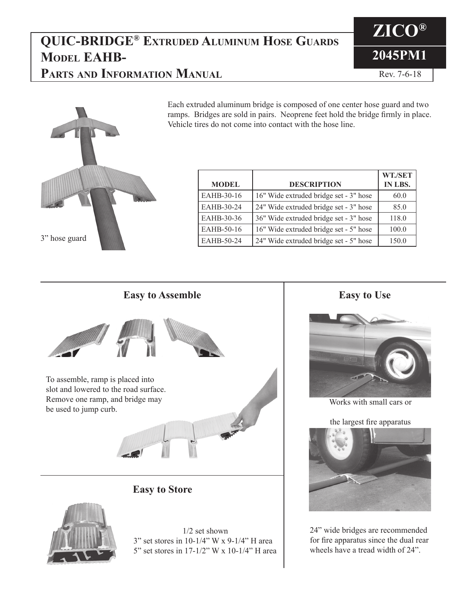#### **QUIC-BRIDGE® Extruded Aluminum Hose Guards Model EAHB-Parts and Information Manual**



Rev. 7-6-18



**MODEL DESCRIPTION WT./SET IN LBS.** EAHB-30-16 16" Wide extruded bridge set - 3" hose  $\vert$  60.0 EAHB-30-24  $\left| \right. 24^{\circ}$  Wide extruded bridge set - 3" hose  $\left| \right|$  85.0 EAHB-30-36  $\vert$  36" Wide extruded bridge set - 3" hose  $\vert$  118.0 EAHB-50-16 |  $16"$  Wide extruded bridge set - 5" hose | 100.0 EAHB-50-24  $\vert$  24" Wide extruded bridge set - 5" hose  $\vert$  150.0

Each extruded aluminum bridge is composed of one center hose guard and two ramps. Bridges are sold in pairs. Neoprene feet hold the bridge firmly in place.

Vehicle tires do not come into contact with the hose line.

#### To assemble, ramp is placed into slot and lowered to the road surface. Remove one ramp, and bridge may be used to jump curb. **Easy to Assemble Easy to Use Easy to Store**



1/2 set shown 3" set stores in 10-1/4" W x 9-1/4" H area 5" set stores in 17-1/2" W x 10-1/4" H area



Works with small cars or

the largest fire apparatus



24" wide bridges are recommended for fire apparatus since the dual rear wheels have a tread width of 24".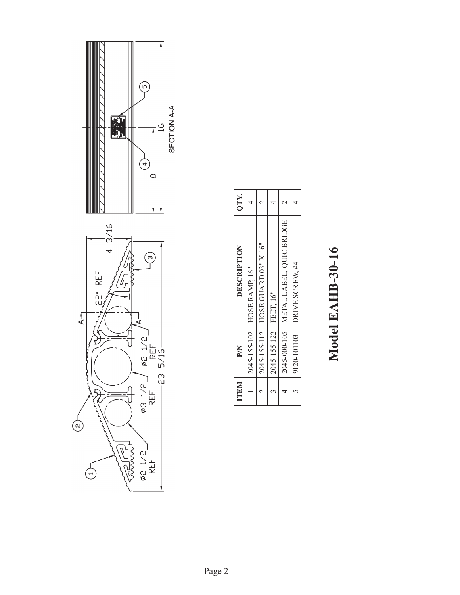

| ITEM | PN                       | DESCRIPTION                             | QTY. |
|------|--------------------------|-----------------------------------------|------|
|      |                          | 2045-155-102   HOSE RAMP, 16"           |      |
|      |                          | 2045-155-112   HOSE GUARD 03" X 16"     |      |
|      | 2045-155-122   FEET, 16" |                                         |      |
|      |                          | 2045-000-105   METAL LABEL, QUIC BRIDGE |      |
|      | 9120-101103              | DRIVE SCREW. #4                         |      |
|      |                          |                                         |      |

т

T

٦

# Model EAHB-30-16 **Model EAHB-30-16**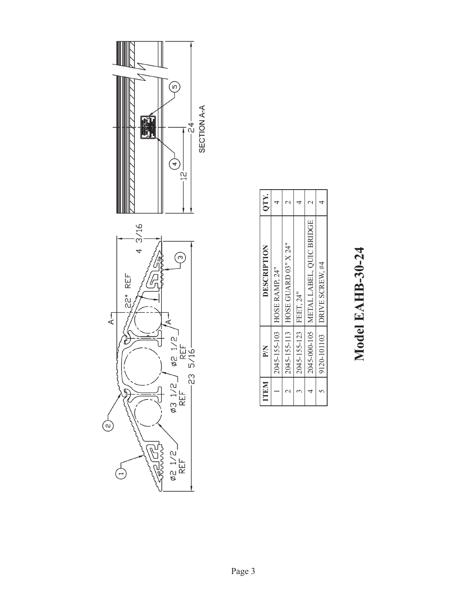# Model EAHB-30-24 **Model EAHB-30-24**

| ITEM | MA                     | DESCRIPTION                             | QTY. |
|------|------------------------|-----------------------------------------|------|
|      |                        | 2045-155-103 HOSE RAMP, 24"             |      |
|      |                        | 2045-155-113   HOSE GUARD 03" X 24"     |      |
|      | 2045-155-123 FEET, 24" |                                         |      |
|      |                        | 2045-000-105   METAL LABEL, QUIC BRIDGE |      |
|      | 9120-101103            | DRIVE SCREW. #4                         |      |
|      |                        |                                         |      |

٦

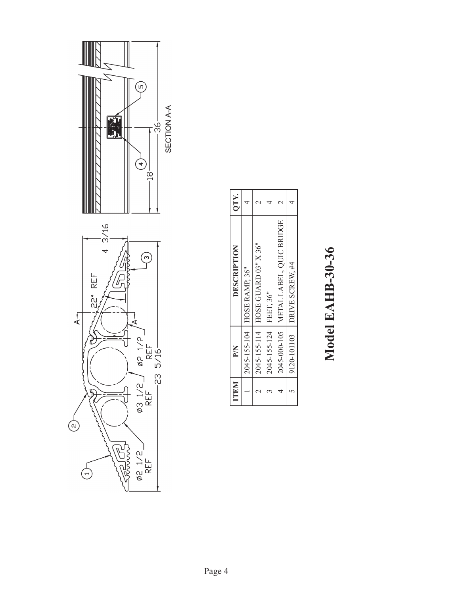

| ITEM | PN                     | DESCRIPTION                             | QTY. |
|------|------------------------|-----------------------------------------|------|
|      |                        | 2045-155-104   HOSE RAMP, 36"           |      |
|      |                        | 2045-155-114   HOSE GUARD 03" X 36"     |      |
|      | 2045-155-124 FEET, 36" |                                         |      |
|      |                        | 2045-000-105   METAL LABEL, QUIC BRIDGE |      |
|      | 9120-101103            | DRIVE SCREW. #4                         |      |
|      |                        |                                         |      |

Model EAHB-30-36 **Model EAHB-30-36**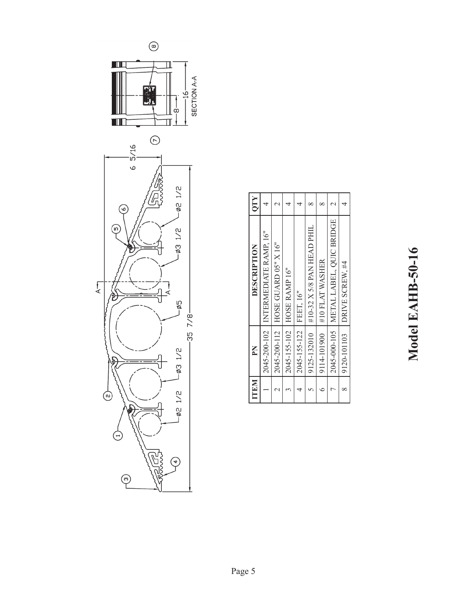

 $\circledcirc$ 

HIS

TIN

 $6\,5/16$ 

 $\odot$ 

 $\binom{5}{2}$ 

P

 $\bigoplus$ 

Ġ

 $\odot$ 

 $\overline{A}$ 

| ١                                   |
|-------------------------------------|
| Š                                   |
|                                     |
| Ĺ<br>ţ                              |
| e                                   |
| $\mathbf{r}$<br>l                   |
| <b>J</b><br>$\overline{\mathsf{d}}$ |
| $\overline{\mathbf{C}}$             |
| ē                                   |
|                                     |

| <b>ITEM</b> | $\mathbf{N}$           | <b>DESCRIPTION</b>                      | QTY |
|-------------|------------------------|-----------------------------------------|-----|
|             |                        | 2045-200-102   INTERMEDIATE RAMP, 16"   |     |
|             |                        | 2045-200-112 HOSE GUARD 05" X 16"       |     |
|             |                        | 2045-155-102   HOSE RAMP 16"            |     |
|             | 2045-155-122 FEET, 16" |                                         |     |
|             | 9125-132010            | #10-32 X 5/8 PAN HEAD PHIL              |     |
|             | 9114-101900            | #10 FLAT WASHER                         |     |
|             |                        | 2045-000-105   METAL LABEL, QUIC BRIDGE |     |
| $\propto$   | 9120-101103            | DRIVE SCREW, #4                         |     |
|             |                        |                                         |     |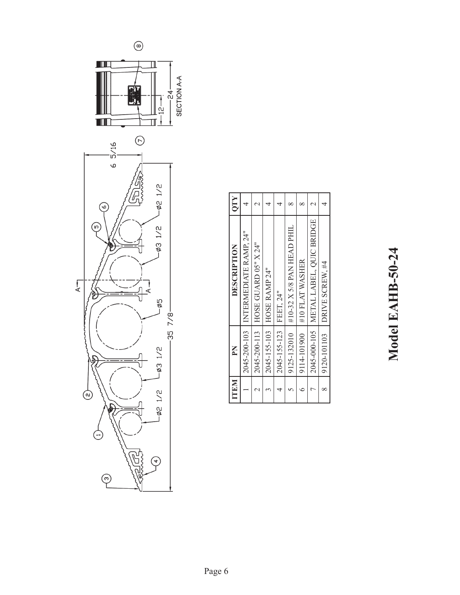

| <b>ITEM</b> | $\mathbf{N}$           | <b>DESCRIPTION</b>                    | <b>OTY</b> |
|-------------|------------------------|---------------------------------------|------------|
|             |                        | 2045-200-103   INTERMEDIATE RAMP, 24" |            |
|             |                        | 2045-200-113 HOSE GUARD 05" X 24"     |            |
|             |                        | 2045-155-103   HOSE RAMP 24"          |            |
|             | 2045-155-123 FEET, 24" |                                       |            |
|             | 9125-132010            | #10-32 X 5/8 PAN HEAD PHIL            |            |
|             | 9114-101900            | #10 FLAT WASHER                       |            |
|             | 2045-000-105           | METAL LABEL, QUIC BRIDGE              |            |
|             | 9120-101103            | DRIVE SCREW, #4                       | 4          |
|             |                        |                                       |            |

### Model EAHB-50-24 **Model EAHB-50-24**